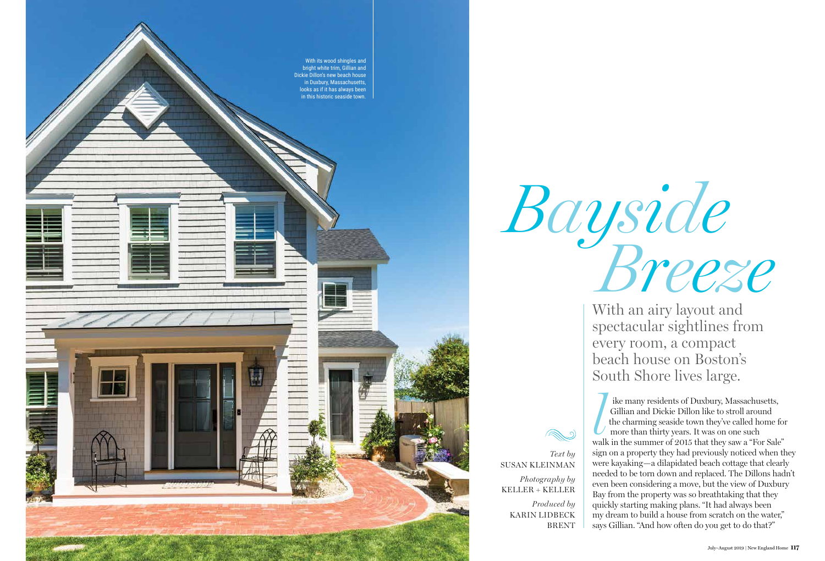*Text by*

SUSAN KLEINMAN

*Photography by* KELLER + KELLER

*Produced by*

KARIN LIDBECK

BRENT

With an airy layout and spectacular sightlines from every room, a compact beach house on Boston's South Shore lives large.

*Bayside Breeze*



ike many residents of Duxbury, Massachusetts, Gillian and Dickie Dillon like to stroll around the charming seaside town they've called home for more than thirty years. It was on one such ike many residents of Duxbury, Massachusetts,<br>Gillian and Dickie Dillon like to stroll around<br>the charming seaside town they've called home for<br>more than thirty years. It was on one such<br>walk in the summer of 2015 that the sign on a property they had previously noticed when they were kayaking—a dilapidated beach cottage that clearly needed to be torn down and replaced. The Dillons hadn't even been considering a move, but the view of Duxbury Bay from the property was so breathtaking that they quickly starting making plans. "It had always been my dream to build a house from scratch on the water," says Gillian. "And how often do you get to do that?"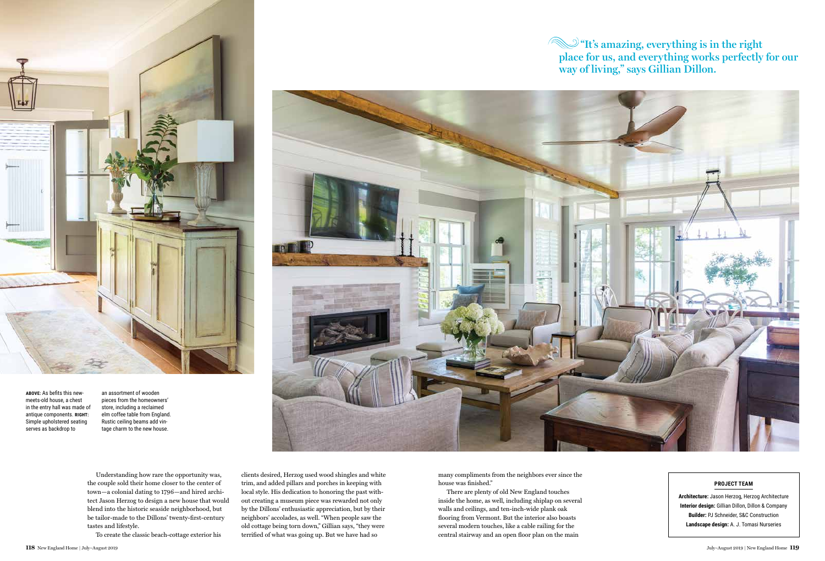Understanding how rare the opportunity was, the couple sold their home closer to the center of town—a colonial dating to 1796—and hired architect Jason Herzog to design a new house that would blend into the historic seaside neighborhood, but be tailor-made to the Dillons' twenty-first-century tastes and lifestyle.

To create the classic beach-cottage exterior his

clients desired, Herzog used wood shingles and white trim, and added pillars and porches in keeping with local style. His dedication to honoring the past without creating a museum piece was rewarded not only by the Dillons' enthusiastic appreciation, but by their neighbors' accolades, as well. "When people saw the old cottage being torn down," Gillian says, "they were terrified of what was going up. But we have had so



**ABOVE:** As befits this newmeets-old house, a chest in the entry hall was made of antique components. **RIGHT:** Simple upholstered seating serves as backdrop to

## **W** "It's amazing, everything is in the right **place for us, and everything works perfectly for our way of living," says Gillian Dillon.**



an assortment of wooden pieces from the homeowners' store, including a reclaimed elm coffee table from England. Rustic ceiling beams add vintage charm to the new house.

## **PROJECT TEAM**

**Architecture:** Jason Herzog, Herzog Architecture **Interior design:** Gillian Dillon, Dillon & Company **Builder:** PJ Schneider, S&C Construction **Landscape design:** A. J. Tomasi Nurseries

many compliments from the neighbors ever since the house was finished."

There are plenty of old New England touches inside the home, as well, including shiplap on several walls and ceilings, and ten-inch-wide plank oak flooring from Vermont. But the interior also boasts several modern touches, like a cable railing for the central stairway and an open floor plan on the main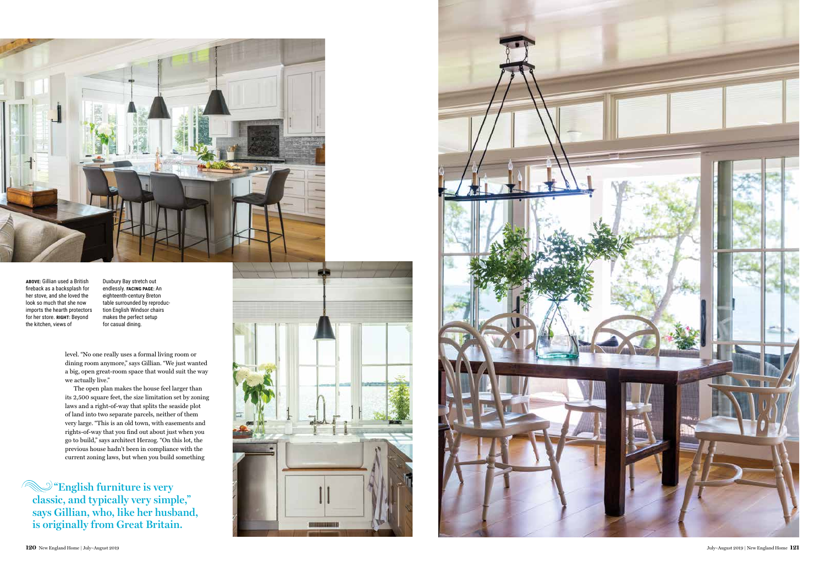

**ABOVE:** Gillian used a British fireback as a backsplash for her stove, and she loved the look so much that she now imports the hearth protectors for her store. **RIGHT:** Beyond the kitchen, views of

Duxbury Bay stretch out endlessly. **FACING PAGE:** An eighteenth-century Breton table surrounded by reproduc tion English Windsor chairs makes the perfect setup for casual dining.

level. "No one really uses a formal living room or dining room anymore," says Gillian. "We just wanted a big, open great-room space that would suit the way we actually live."

The open plan makes the house feel larger than its 2,500 square feet, the size limitation set by zoning laws and a right-of-way that splits the seaside plot of land into two separate parcels, neither of them very large. "This is an old town, with easements and rights-of-way that you find out about just when you go to build," says architect Herzog. "On this lot, the previous house hadn't been in compliance with the current zoning laws, but when you build something

**"English furniture is very classic, and typically very simple," says Gillian, who, like her husband, is originally from Great Britain.**



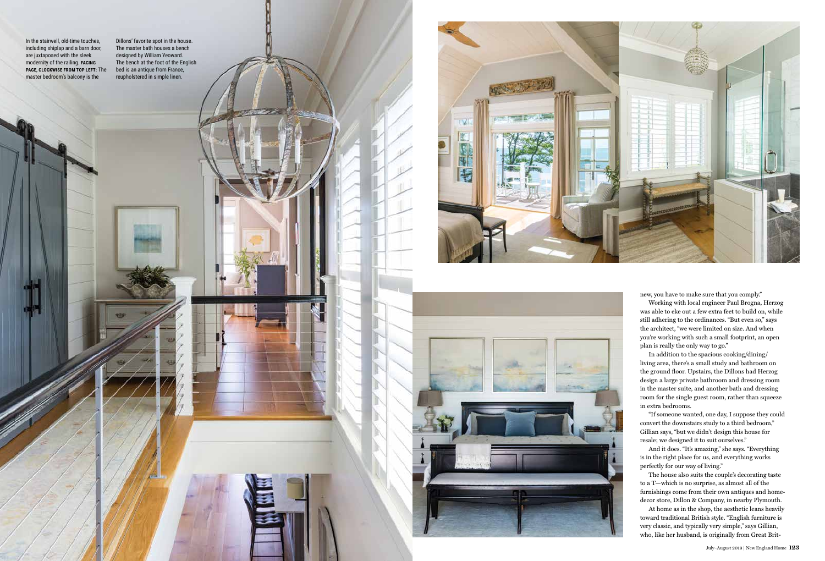In the stairwell, old-time touches, including shiplap and a barn door, are juxtaposed with the sleek modernity of the railing. **FACING PAGE, CLOCKWISE FROM TOP LEFT:** The master bedroom's balcony is the

Dillons' favorite spot in the house. The master bath houses a bench designed by William Yeoward. The bench at the foot of the English bed is an antique from France, reupholstered in simple linen.





new, you have to make sure that you comply."

Working with local engineer Paul Brogna, Herzog was able to eke out a few extra feet to build on, while still adhering to the ordinances. "But even so," says the architect, "we were limited on size. And when you're working with such a small footprint, an open plan is really the only way to go."

In addition to the spacious cooking/dining/ living area, there's a small study and bathroom on the ground floor. Upstairs, the Dillons had Herzog design a large private bathroom and dressing room in the master suite, and another bath and dressing room for the single guest room, rather than squeeze in extra bedrooms.

"If someone wanted, one day, I suppose they could convert the downstairs study to a third bedroom," Gillian says, "but we didn't design this house for resale; we designed it to suit ourselves."

And it does. "It's amazing," she says. "Everything is in the right place for us, and everything works perfectly for our way of living."

The house also suits the couple's decorating taste to a T—which is no surprise, as almost all of the furnishings come from their own antiques and homedecor store, Dillon & Company, in nearby Plymouth.

At home as in the shop, the aesthetic leans heavily toward traditional British style. "English furniture is very classic, and typically very simple," says Gillian, who, like her husband, is originally from Great Brit-